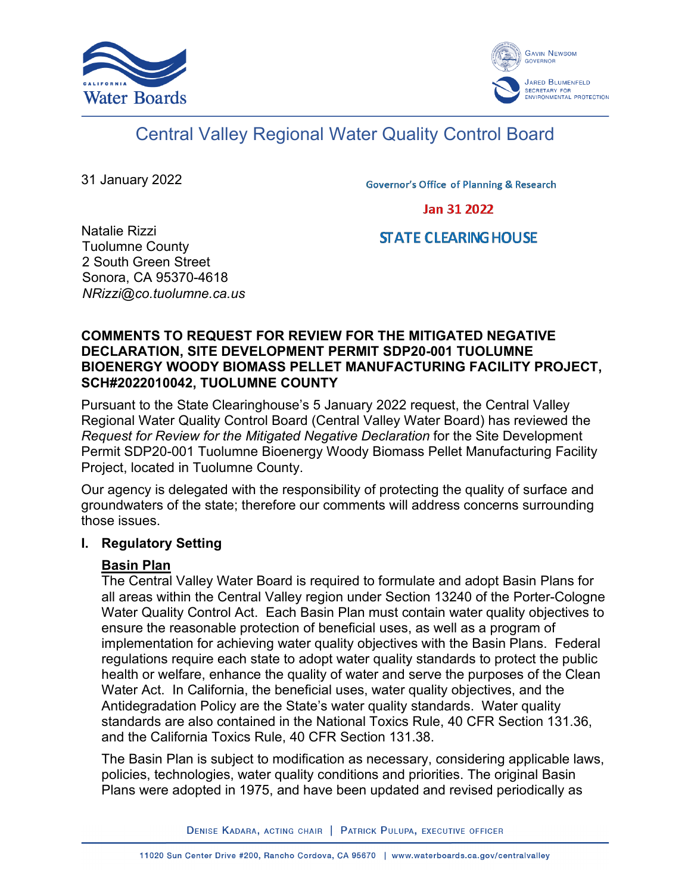



# Central Valley Regional Water Quality Control Board

31 January 2022

**Governor's Office of Planning & Research** 

Jan 31 2022

#### Natalie Rizzi Tuolumne County 2 South Green Street Sonora, CA 95370-4618 *NRizzi@co.tuolumne.ca.us*

## **STATE CLEARING HOUSE**

#### **COMMENTS TO REQUEST FOR REVIEW FOR THE MITIGATED NEGATIVE DECLARATION, SITE DEVELOPMENT PERMIT SDP20-001 TUOLUMNE BIOENERGY WOODY BIOMASS PELLET MANUFACTURING FACILITY PROJECT, SCH#2022010042, TUOLUMNE COUNTY**

Pursuant to the State Clearinghouse's 5 January 2022 request, the Central Valley Regional Water Quality Control Board (Central Valley Water Board) has reviewed the *Request for Review for the Mitigated Negative Declaration* for the Site Development Permit SDP20-001 Tuolumne Bioenergy Woody Biomass Pellet Manufacturing Facility Project, located in Tuolumne County.

Our agency is delegated with the responsibility of protecting the quality of surface and groundwaters of the state; therefore our comments will address concerns surrounding those issues.

## **I. Regulatory Setting**

## **Basin Plan**

The Central Valley Water Board is required to formulate and adopt Basin Plans for all areas within the Central Valley region under Section 13240 of the Porter-Cologne Water Quality Control Act. Each Basin Plan must contain water quality objectives to ensure the reasonable protection of beneficial uses, as well as a program of implementation for achieving water quality objectives with the Basin Plans. Federal regulations require each state to adopt water quality standards to protect the public health or welfare, enhance the quality of water and serve the purposes of the Clean Water Act. In California, the beneficial uses, water quality objectives, and the Antidegradation Policy are the State's water quality standards. Water quality standards are also contained in the National Toxics Rule, 40 CFR Section 131.36, and the California Toxics Rule, 40 CFR Section 131.38.

The Basin Plan is subject to modification as necessary, considering applicable laws, policies, technologies, water quality conditions and priorities. The original Basin Plans were adopted in 1975, and have been updated and revised periodically as

DENISE KADARA, ACTING CHAIR | PATRICK PULUPA, EXECUTIVE OFFICER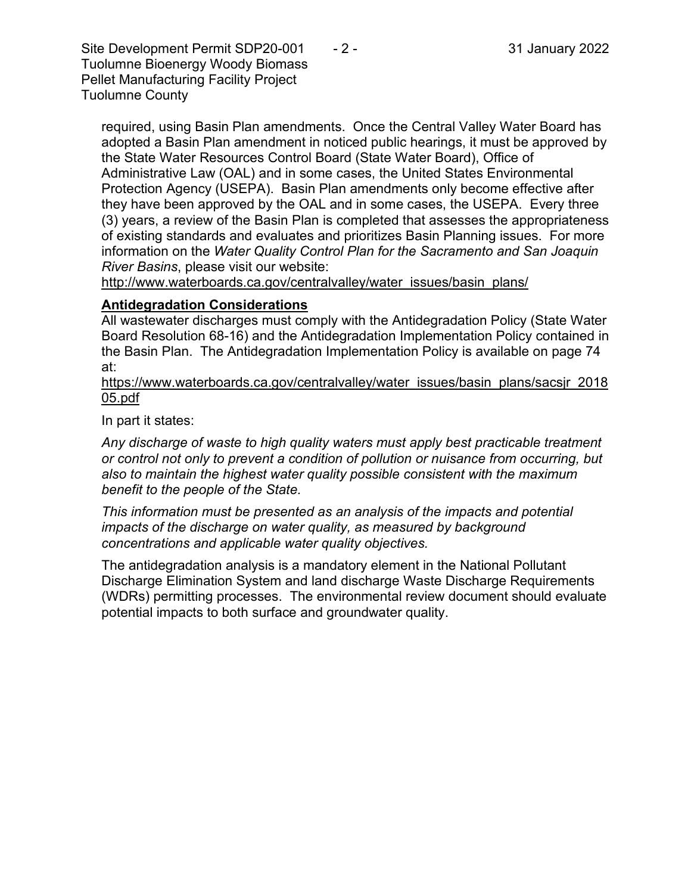Site Development Permit SDP20-001  $-2$  - 31 January 2022 Tuolumne Bioenergy Woody Biomass Pellet Manufacturing Facility Project Tuolumne County

required, using Basin Plan amendments. Once the Central Valley Water Board has adopted a Basin Plan amendment in noticed public hearings, it must be approved by the State Water Resources Control Board (State Water Board), Office of Administrative Law (OAL) and in some cases, the United States Environmental Protection Agency (USEPA). Basin Plan amendments only become effective after they have been approved by the OAL and in some cases, the USEPA. Every three (3) years, a review of the Basin Plan is completed that assesses the appropriateness of existing standards and evaluates and prioritizes Basin Planning issues. For more information on the *Water Quality Control Plan for the Sacramento and San Joaquin River Basins*, please visit our website:

[http://www.waterboards.ca.gov/centralvalley/water\\_issues/basin\\_plans/](http://www.waterboards.ca.gov/centralvalley/water_issues/basin_plans/)

## **Antidegradation Considerations**

All wastewater discharges must comply with the Antidegradation Policy (State Water Board Resolution 68-16) and the Antidegradation Implementation Policy contained in the Basin Plan. The Antidegradation Implementation Policy is available on page 74 at:

https://www.waterboards.ca.gov/centralvalley/water\_issues/basin\_plans/sacsjr\_2018 05.pdf

In part it states:

*Any discharge of waste to high quality waters must apply best practicable treatment or control not only to prevent a condition of pollution or nuisance from occurring, but also to maintain the highest water quality possible consistent with the maximum benefit to the people of the State.*

*This information must be presented as an analysis of the impacts and potential impacts of the discharge on water quality, as measured by background concentrations and applicable water quality objectives.*

The antidegradation analysis is a mandatory element in the National Pollutant Discharge Elimination System and land discharge Waste Discharge Requirements (WDRs) permitting processes. The environmental review document should evaluate potential impacts to both surface and groundwater quality.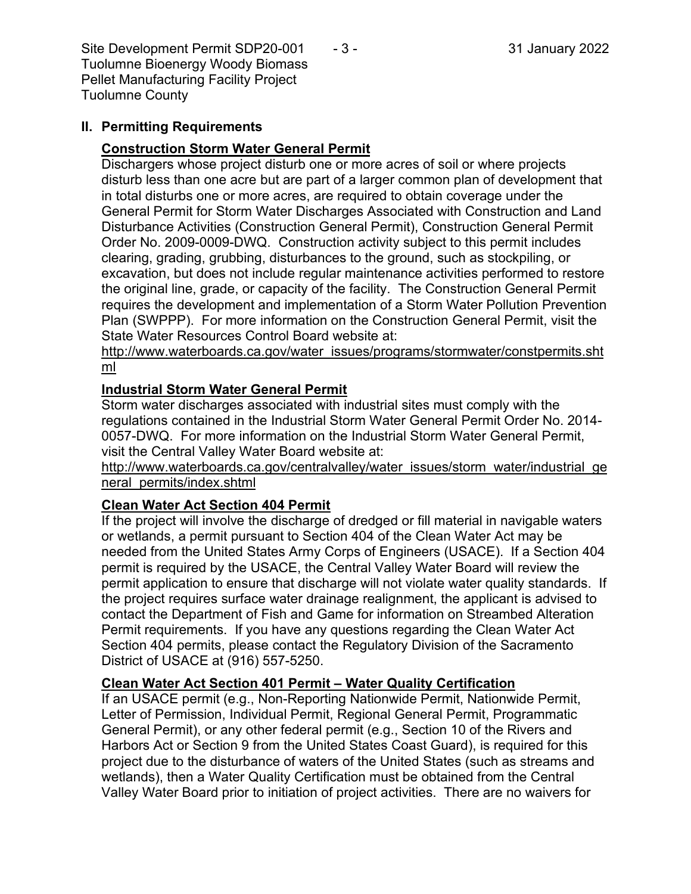Site Development Permit SDP20-001  $-3$  - 31 January 2022 Tuolumne Bioenergy Woody Biomass Pellet Manufacturing Facility Project Tuolumne County

## **II. Permitting Requirements**

## **Construction Storm Water General Permit**

Dischargers whose project disturb one or more acres of soil or where projects disturb less than one acre but are part of a larger common plan of development that in total disturbs one or more acres, are required to obtain coverage under the General Permit for Storm Water Discharges Associated with Construction and Land Disturbance Activities (Construction General Permit), Construction General Permit Order No. 2009-0009-DWQ. Construction activity subject to this permit includes clearing, grading, grubbing, disturbances to the ground, such as stockpiling, or excavation, but does not include regular maintenance activities performed to restore the original line, grade, or capacity of the facility. The Construction General Permit requires the development and implementation of a Storm Water Pollution Prevention Plan (SWPPP). For more information on the Construction General Permit, visit the State Water Resources Control Board website at:

[http://www.waterboards.ca.gov/water\\_issues/programs/stormwater/constpermits.sht](http://www.waterboards.ca.gov/water_issues/programs/stormwater/constpermits.shtml) [ml](http://www.waterboards.ca.gov/water_issues/programs/stormwater/constpermits.shtml)

## **Industrial Storm Water General Permit**

Storm water discharges associated with industrial sites must comply with the regulations contained in the Industrial Storm Water General Permit Order No. 2014- 0057-DWQ. For more information on the Industrial Storm Water General Permit, visit the Central Valley Water Board website at:

http://www.waterboards.ca.gov/centralvalley/water\_issues/storm\_water/industrial\_ge neral\_permits/index.shtml

## **Clean Water Act Section 404 Permit**

If the project will involve the discharge of dredged or fill material in navigable waters or wetlands, a permit pursuant to Section 404 of the Clean Water Act may be needed from the United States Army Corps of Engineers (USACE). If a Section 404 permit is required by the USACE, the Central Valley Water Board will review the permit application to ensure that discharge will not violate water quality standards. If the project requires surface water drainage realignment, the applicant is advised to contact the Department of Fish and Game for information on Streambed Alteration Permit requirements. If you have any questions regarding the Clean Water Act Section 404 permits, please contact the Regulatory Division of the Sacramento District of USACE at (916) 557-5250.

## **Clean Water Act Section 401 Permit – Water Quality Certification**

If an USACE permit (e.g., Non-Reporting Nationwide Permit, Nationwide Permit, Letter of Permission, Individual Permit, Regional General Permit, Programmatic General Permit), or any other federal permit (e.g., Section 10 of the Rivers and Harbors Act or Section 9 from the United States Coast Guard), is required for this project due to the disturbance of waters of the United States (such as streams and wetlands), then a Water Quality Certification must be obtained from the Central Valley Water Board prior to initiation of project activities. There are no waivers for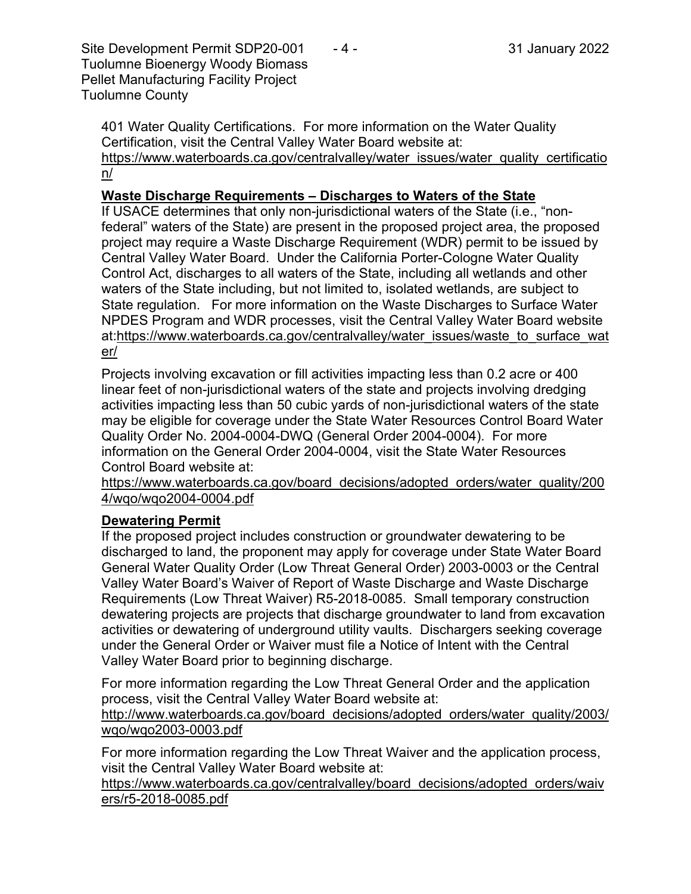Site Development Permit SDP20-001  $-4$  - 31 January 2022 Tuolumne Bioenergy Woody Biomass Pellet Manufacturing Facility Project Tuolumne County

401 Water Quality Certifications. For more information on the Water Quality Certification, visit the Central Valley Water Board website at: https://www.waterboards.ca.gov/centralvalley/water\_issues/water\_quality\_certificatio n/

#### **Waste Discharge Requirements – Discharges to Waters of the State**

If USACE determines that only non-jurisdictional waters of the State (i.e., "nonfederal" waters of the State) are present in the proposed project area, the proposed project may require a Waste Discharge Requirement (WDR) permit to be issued by Central Valley Water Board. Under the California Porter-Cologne Water Quality Control Act, discharges to all waters of the State, including all wetlands and other waters of the State including, but not limited to, isolated wetlands, are subject to State regulation. For more information on the Waste Discharges to Surface Water NPDES Program and WDR processes, visit the Central Valley Water Board website at:https://www.waterboards.ca.gov/centralvalley/water\_issues/waste\_to\_surface\_wat er/

Projects involving excavation or fill activities impacting less than 0.2 acre or 400 linear feet of non-jurisdictional waters of the state and projects involving dredging activities impacting less than 50 cubic yards of non-jurisdictional waters of the state may be eligible for coverage under the State Water Resources Control Board Water Quality Order No. 2004-0004-DWQ (General Order 2004-0004). For more information on the General Order 2004-0004, visit the State Water Resources Control Board website at:

https://www.waterboards.ca.gov/board\_decisions/adopted\_orders/water\_quality/200 4/wqo/wqo2004-0004.pdf

## **Dewatering Permit**

If the proposed project includes construction or groundwater dewatering to be discharged to land, the proponent may apply for coverage under State Water Board General Water Quality Order (Low Threat General Order) 2003-0003 or the Central Valley Water Board's Waiver of Report of Waste Discharge and Waste Discharge Requirements (Low Threat Waiver) R5-2018-0085. Small temporary construction dewatering projects are projects that discharge groundwater to land from excavation activities or dewatering of underground utility vaults. Dischargers seeking coverage under the General Order or Waiver must file a Notice of Intent with the Central Valley Water Board prior to beginning discharge.

For more information regarding the Low Threat General Order and the application process, visit the Central Valley Water Board website at: http://www.waterboards.ca.gov/board decisions/adopted orders/water quality/2003/

wqo/wqo2003-0003.pdf

For more information regarding the Low Threat Waiver and the application process, visit the Central Valley Water Board website at:

https://www.waterboards.ca.gov/centralvalley/board\_decisions/adopted\_orders/waiv ers/r5-2018-0085.pdf